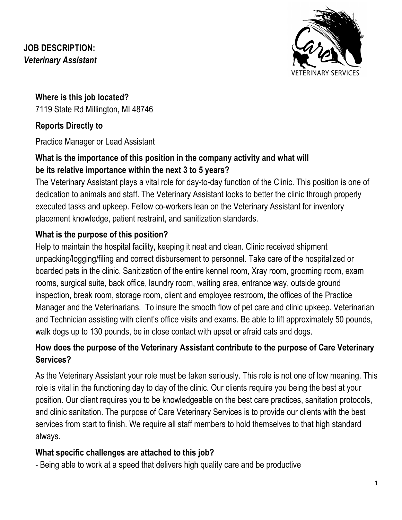## **JOB DESCRIPTION:** *Veterinary Assistant*



**Where is this job located?** 7119 State Rd Millington, MI 48746

# **Reports Directly to**

Practice Manager or Lead Assistant

## **What is the importance of this position in the company activity and what will be its relative importance within the next 3 to 5 years?**

The Veterinary Assistant plays a vital role for day-to-day function of the Clinic. This position is one of dedication to animals and staff. The Veterinary Assistant looks to better the clinic through properly executed tasks and upkeep. Fellow co-workers lean on the Veterinary Assistant for inventory placement knowledge, patient restraint, and sanitization standards.

# **What is the purpose of this position?**

Help to maintain the hospital facility, keeping it neat and clean. Clinic received shipment unpacking/logging/filing and correct disbursement to personnel. Take care of the hospitalized or boarded pets in the clinic. Sanitization of the entire kennel room, Xray room, grooming room, exam rooms, surgical suite, back office, laundry room, waiting area, entrance way, outside ground inspection, break room, storage room, client and employee restroom, the offices of the Practice Manager and the Veterinarians. To insure the smooth flow of pet care and clinic upkeep. Veterinarian and Technician assisting with client's office visits and exams. Be able to lift approximately 50 pounds, walk dogs up to 130 pounds, be in close contact with upset or afraid cats and dogs.

# **How does the purpose of the Veterinary Assistant contribute to the purpose of Care Veterinary Services?**

As the Veterinary Assistant your role must be taken seriously. This role is not one of low meaning. This role is vital in the functioning day to day of the clinic. Our clients require you being the best at your position. Our client requires you to be knowledgeable on the best care practices, sanitation protocols, and clinic sanitation. The purpose of Care Veterinary Services is to provide our clients with the best services from start to finish. We require all staff members to hold themselves to that high standard always.

# **What specific challenges are attached to this job?**

- Being able to work at a speed that delivers high quality care and be productive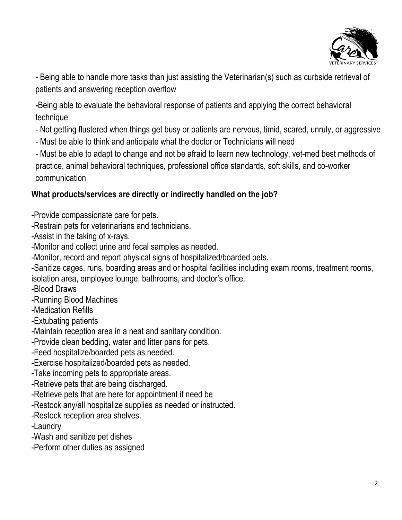

- Being able to handle more tasks than just assisting the Veterinarian(s) such as curbside retrieval of patients and answering reception overflow

**-**Being able to evaluate the behavioral response of patients and applying the correct behavioral technique

- Not getting flustered when things get busy or patients are nervous, timid, scared, unruly, or aggressive
- Must be able to think and anticipate what the doctor or Technicians will need

- Must be able to adapt to change and not be afraid to learn new technology, vet-med best methods of practice, animal behavioral techniques, professional office standards, soft skills, and co-worker communication

## **What products/services are directly or indirectly handled on the job?**

-Provide compassionate care for pets.

-Restrain pets for veterinarians and technicians.

-Assist in the taking of x-rays.

-Monitor and collect urine and fecal samples as needed.

-Monitor, record and report physical signs of hospitalized/boarded pets.

-Sanitize cages, runs, boarding areas and or hospital facilities including exam rooms, treatment rooms, isolation area, employee lounge, bathrooms, and doctor's office.

-Blood Draws

-Running Blood Machines

-Medication Refills

-Extubating patients

-Maintain reception area in a neat and sanitary condition.

-Provide clean bedding, water and litter pans for pets.

-Feed hospitalize/boarded pets as needed.

-Exercise hospitalized/boarded pets as needed.

-Take incoming pets to appropriate areas.

-Retrieve pets that are being discharged.

-Retrieve pets that are here for appointment if need be

-Restock any/all hospitalize supplies as needed or instructed.

-Restock reception area shelves.

-Laundry

-Wash and sanitize pet dishes

-Perform other duties as assigned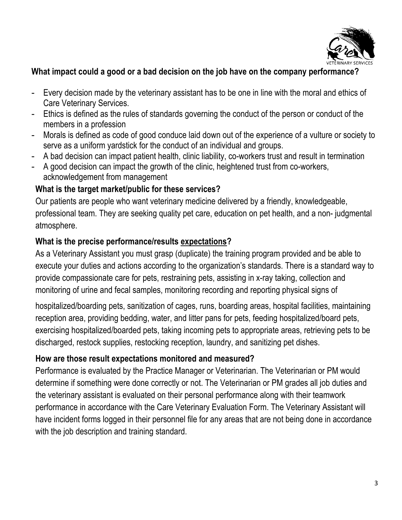

#### **What impact could a good or a bad decision on the job have on the company performance?**

- Every decision made by the veterinary assistant has to be one in line with the moral and ethics of Care Veterinary Services.
- Ethics is defined as the rules of standards governing the conduct of the person or conduct of the members in a profession
- Morals is defined as code of good conduce laid down out of the experience of a vulture or society to serve as a uniform yardstick for the conduct of an individual and groups.
- A bad decision can impact patient health, clinic liability, co-workers trust and result in termination
- A good decision can impact the growth of the clinic, heightened trust from co-workers, acknowledgement from management

#### **What is the target market/public for these services?**

Our patients are people who want veterinary medicine delivered by a friendly, knowledgeable, professional team. They are seeking quality pet care, education on pet health, and a non- judgmental atmosphere.

#### **What is the precise performance/results expectations?**

As a Veterinary Assistant you must grasp (duplicate) the training program provided and be able to execute your duties and actions according to the organization's standards. There is a standard way to provide compassionate care for pets, restraining pets, assisting in x-ray taking, collection and monitoring of urine and fecal samples, monitoring recording and reporting physical signs of

hospitalized/boarding pets, sanitization of cages, runs, boarding areas, hospital facilities, maintaining reception area, providing bedding, water, and litter pans for pets, feeding hospitalized/board pets, exercising hospitalized/boarded pets, taking incoming pets to appropriate areas, retrieving pets to be discharged, restock supplies, restocking reception, laundry, and sanitizing pet dishes.

### **How are those result expectations monitored and measured?**

Performance is evaluated by the Practice Manager or Veterinarian. The Veterinarian or PM would determine if something were done correctly or not. The Veterinarian or PM grades all job duties and the veterinary assistant is evaluated on their personal performance along with their teamwork performance in accordance with the Care Veterinary Evaluation Form. The Veterinary Assistant will have incident forms logged in their personnel file for any areas that are not being done in accordance with the job description and training standard.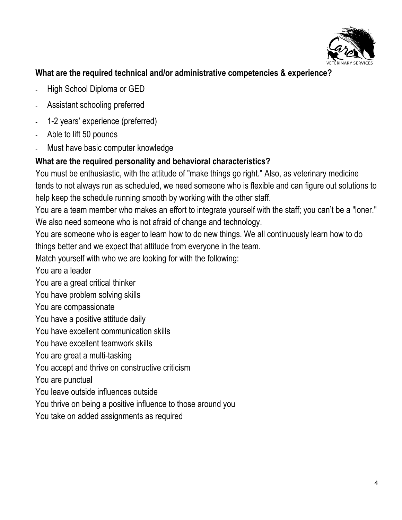

### **What are the required technical and/or administrative competencies & experience?**

- **-** High School Diploma or GED
- **-** Assistant schooling preferred
- **-** 1-2 years' experience (preferred)
- **-** Able to lift 50 pounds
- **-** Must have basic computer knowledge

#### **What are the required personality and behavioral characteristics?**

You must be enthusiastic, with the attitude of "make things go right." Also, as veterinary medicine tends to not always run as scheduled, we need someone who is flexible and can figure out solutions to help keep the schedule running smooth by working with the other staff.

You are a team member who makes an effort to integrate yourself with the staff; you can't be a "loner." We also need someone who is not afraid of change and technology.

You are someone who is eager to learn how to do new things. We all continuously learn how to do things better and we expect that attitude from everyone in the team.

Match yourself with who we are looking for with the following:

You are a leader

You are a great critical thinker

You have problem solving skills

You are compassionate

You have a positive attitude daily

You have excellent communication skills

You have excellent teamwork skills

You are great a multi-tasking

You accept and thrive on constructive criticism

You are punctual

You leave outside influences outside

You thrive on being a positive influence to those around you

You take on added assignments as required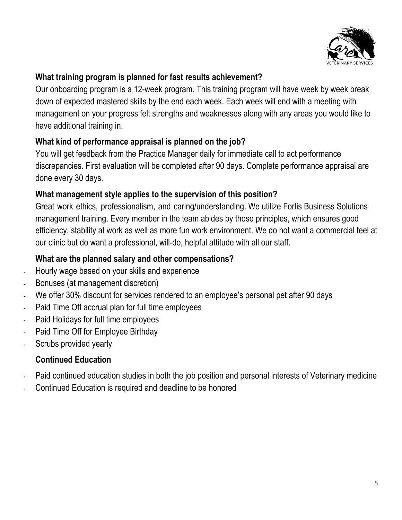

### **What training program is planned for fast results achievement?**

Our onboarding program is a 12-week program. This training program will have week by week break down of expected mastered skills by the end each week. Each week will end with a meeting with management on your progress felt strengths and weaknesses along with any areas you would like to have additional training in.

### **What kind of performance appraisal is planned on the job?**

You will get feedback from the Practice Manager daily for immediate call to act performance discrepancies. First evaluation will be completed after 90 days. Complete performance appraisal are done every 30 days.

### **What management style applies to the supervision of this position?**

Great work ethics, professionalism, and caring/understanding. We utilize Fortis Business Solutions management training. Every member in the team abides by those principles, which ensures good efficiency, stability at work as well as more fun work environment. We do not want a commercial feel at our clinic but do want a professional, will-do, helpful attitude with all our staff.

## **What are the planned salary and other compensations?**

- **-** Hourly wage based on your skills and experience
- **-** Bonuses (at management discretion)
- **-** We offer 30% discount for services rendered to an employee's personal pet after 90 days
- **-** Paid Time Off accrual plan for full time employees
- **-** Paid Holidays for full time employees
- **-** Paid Time Off for Employee Birthday
- **-** Scrubs provided yearly

# **Continued Education**

- **-** Paid continued education studies in both the job position and personal interests of Veterinary medicine
- **-** Continued Education is required and deadline to be honored